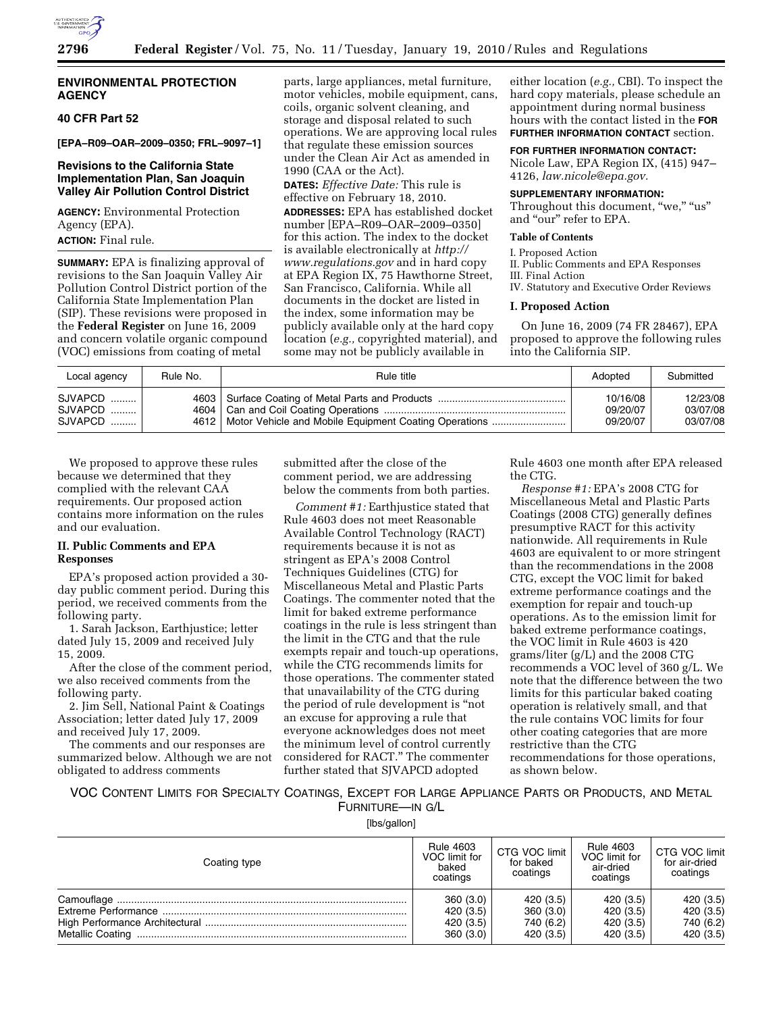

## **ENVIRONMENTAL PROTECTION AGENCY**

# **40 CFR Part 52**

**[EPA–R09–OAR–2009–0350; FRL–9097–1]** 

## **Revisions to the California State Implementation Plan, San Joaquin Valley Air Pollution Control District**

**AGENCY:** Environmental Protection Agency (EPA).

**ACTION:** Final rule.

**SUMMARY:** EPA is finalizing approval of revisions to the San Joaquin Valley Air Pollution Control District portion of the California State Implementation Plan (SIP). These revisions were proposed in the **Federal Register** on June 16, 2009 and concern volatile organic compound (VOC) emissions from coating of metal

parts, large appliances, metal furniture, motor vehicles, mobile equipment, cans, coils, organic solvent cleaning, and storage and disposal related to such operations. We are approving local rules that regulate these emission sources under the Clean Air Act as amended in 1990 (CAA or the Act). **DATES:** *Effective Date:* This rule is effective on February 18, 2010. **ADDRESSES:** EPA has established docket number [EPA–R09–OAR–2009–0350] for this action. The index to the docket is available electronically at *http:// www.regulations.gov* and in hard copy at EPA Region IX, 75 Hawthorne Street, San Francisco, California. While all documents in the docket are listed in the index, some information may be publicly available only at the hard copy location (*e.g.,* copyrighted material), and some may not be publicly available in

either location (*e.g.,* CBI). To inspect the hard copy materials, please schedule an appointment during normal business hours with the contact listed in the **FOR FURTHER INFORMATION CONTACT** section.

**FOR FURTHER INFORMATION CONTACT:** 

Nicole Law, EPA Region IX, (415) 947– 4126, *law.nicole@epa.gov.* 

#### **SUPPLEMENTARY INFORMATION:**

Throughout this document, "we," "us" and "our" refer to EPA.

## **Table of Contents**

I. Proposed Action II. Public Comments and EPA Responses III. Final Action IV. Statutory and Executive Order Reviews

#### **I. Proposed Action**

On June 16, 2009 (74 FR 28467), EPA proposed to approve the following rules into the California SIP.

| Local agency | Rule No. | Rule title | Adopted  | Submitted |
|--------------|----------|------------|----------|-----------|
| SJVAPCD      |          |            | 10/16/08 | 12/23/08  |
| $SJVAPCD$    |          |            | 09/20/07 | 03/07/08  |
| SJVAPCD      |          |            | 09/20/07 | 03/07/08  |

We proposed to approve these rules because we determined that they complied with the relevant CAA requirements. Our proposed action contains more information on the rules and our evaluation.

# **II. Public Comments and EPA Responses**

EPA's proposed action provided a 30 day public comment period. During this period, we received comments from the following party.

1. Sarah Jackson, Earthjustice; letter dated July 15, 2009 and received July 15, 2009.

After the close of the comment period, we also received comments from the following party.

2. Jim Sell, National Paint & Coatings Association; letter dated July 17, 2009 and received July 17, 2009.

The comments and our responses are summarized below. Although we are not obligated to address comments

submitted after the close of the comment period, we are addressing below the comments from both parties.

*Comment #1:* Earthjustice stated that Rule 4603 does not meet Reasonable Available Control Technology (RACT) requirements because it is not as stringent as EPA's 2008 Control Techniques Guidelines (CTG) for Miscellaneous Metal and Plastic Parts Coatings. The commenter noted that the limit for baked extreme performance coatings in the rule is less stringent than the limit in the CTG and that the rule exempts repair and touch-up operations, while the CTG recommends limits for those operations. The commenter stated that unavailability of the CTG during the period of rule development is ''not an excuse for approving a rule that everyone acknowledges does not meet the minimum level of control currently considered for RACT.'' The commenter further stated that SJVAPCD adopted

Rule 4603 one month after EPA released the CTG.

*Response #1:* EPA's 2008 CTG for Miscellaneous Metal and Plastic Parts Coatings (2008 CTG) generally defines presumptive RACT for this activity nationwide. All requirements in Rule 4603 are equivalent to or more stringent than the recommendations in the 2008 CTG, except the VOC limit for baked extreme performance coatings and the exemption for repair and touch-up operations. As to the emission limit for baked extreme performance coatings, the VOC limit in Rule 4603 is 420 grams/liter (g/L) and the 2008 CTG recommends a VOC level of 360 g/L. We note that the difference between the two limits for this particular baked coating operation is relatively small, and that the rule contains VOC limits for four other coating categories that are more restrictive than the CTG recommendations for those operations, as shown below.

# VOC CONTENT LIMITS FOR SPECIALTY COATINGS, EXCEPT FOR LARGE APPLIANCE PARTS OR PRODUCTS, AND METAL FURNITURE—IN G/L

[lbs/gallon]

| Coating type | <b>Rule 4603</b><br>VOC limit for<br>baked<br>coatings | CTG VOC limit<br>for baked<br>coatings | <b>Rule 4603</b><br>VOC limit for<br>air-dried<br>coatings | CTG VOC limit<br>for air-dried<br>coatings |
|--------------|--------------------------------------------------------|----------------------------------------|------------------------------------------------------------|--------------------------------------------|
|              | 360(3.0)                                               | 420(3.5)                               | 420(3.5)                                                   | 420 (3.5)                                  |
|              | 420 (3.5)                                              | 360(3.0)                               | 420(3.5)                                                   | 420 (3.5)                                  |
|              | 420 (3.5)                                              | 740 (6.2)                              | 420(3.5)                                                   | 740 (6.2)                                  |
|              | 360 (3.0)                                              | 420 (3.5)                              | 420 (3.5)                                                  | 420 (3.5)                                  |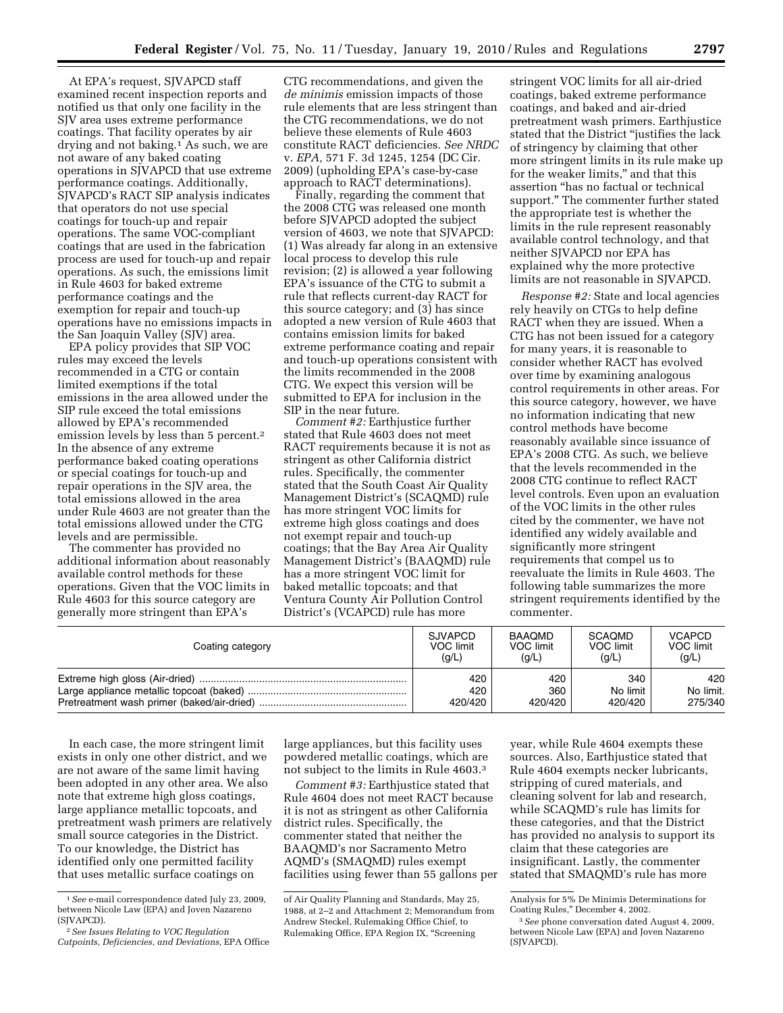At EPA's request, SJVAPCD staff examined recent inspection reports and notified us that only one facility in the SJV area uses extreme performance coatings. That facility operates by air drying and not baking.<sup>1</sup> As such, we are not aware of any baked coating operations in SJVAPCD that use extreme performance coatings. Additionally, SJVAPCD's RACT SIP analysis indicates that operators do not use special coatings for touch-up and repair operations. The same VOC-compliant coatings that are used in the fabrication process are used for touch-up and repair operations. As such, the emissions limit in Rule 4603 for baked extreme performance coatings and the exemption for repair and touch-up operations have no emissions impacts in the San Joaquin Valley (SJV) area.

EPA policy provides that SIP VOC rules may exceed the levels recommended in a CTG or contain limited exemptions if the total emissions in the area allowed under the SIP rule exceed the total emissions allowed by EPA's recommended emission levels by less than 5 percent.2 In the absence of any extreme performance baked coating operations or special coatings for touch-up and repair operations in the SJV area, the total emissions allowed in the area under Rule 4603 are not greater than the total emissions allowed under the CTG levels and are permissible.

The commenter has provided no additional information about reasonably available control methods for these operations. Given that the VOC limits in Rule 4603 for this source category are generally more stringent than EPA's

CTG recommendations, and given the *de minimis* emission impacts of those rule elements that are less stringent than the CTG recommendations, we do not believe these elements of Rule 4603 constitute RACT deficiencies. *See NRDC*  v. *EPA,* 571 F. 3d 1245, 1254 (DC Cir. 2009) (upholding EPA's case-by-case approach to RACT determinations).

Finally, regarding the comment that the 2008 CTG was released one month before SJVAPCD adopted the subject version of 4603, we note that SJVAPCD: (1) Was already far along in an extensive local process to develop this rule revision; (2) is allowed a year following EPA's issuance of the CTG to submit a rule that reflects current-day RACT for this source category; and (3) has since adopted a new version of Rule 4603 that contains emission limits for baked extreme performance coating and repair and touch-up operations consistent with the limits recommended in the 2008 CTG. We expect this version will be submitted to EPA for inclusion in the SIP in the near future.

*Comment #2:* Earthjustice further stated that Rule 4603 does not meet RACT requirements because it is not as stringent as other California district rules. Specifically, the commenter stated that the South Coast Air Quality Management District's (SCAQMD) rule has more stringent VOC limits for extreme high gloss coatings and does not exempt repair and touch-up coatings; that the Bay Area Air Quality Management District's (BAAQMD) rule has a more stringent VOC limit for baked metallic topcoats; and that Ventura County Air Pollution Control District's (VCAPCD) rule has more

stringent VOC limits for all air-dried coatings, baked extreme performance coatings, and baked and air-dried pretreatment wash primers. Earthjustice stated that the District ''justifies the lack of stringency by claiming that other more stringent limits in its rule make up for the weaker limits,'' and that this assertion ''has no factual or technical support.'' The commenter further stated the appropriate test is whether the limits in the rule represent reasonably available control technology, and that neither SJVAPCD nor EPA has explained why the more protective limits are not reasonable in SJVAPCD.

*Response #2:* State and local agencies rely heavily on CTGs to help define RACT when they are issued. When a CTG has not been issued for a category for many years, it is reasonable to consider whether RACT has evolved over time by examining analogous control requirements in other areas. For this source category, however, we have no information indicating that new control methods have become reasonably available since issuance of EPA's 2008 CTG. As such, we believe that the levels recommended in the 2008 CTG continue to reflect RACT level controls. Even upon an evaluation of the VOC limits in the other rules cited by the commenter, we have not identified any widely available and significantly more stringent requirements that compel us to reevaluate the limits in Rule 4603. The following table summarizes the more stringent requirements identified by the commenter.

| Coating category | <b>SJVAPCD</b> | <b>BAAOMD</b> | SCAOMD    | <b>VCAPCD</b> |
|------------------|----------------|---------------|-----------|---------------|
|                  | VOC limit      | VOC limit     | VOC limit | VOC limit     |
|                  | (q/L)          | (q/L)         | (q/L)     | (g/L)         |
|                  | 420            | 420           | 340       | 420           |
|                  | 420            | 360           | No limit  | No limit.     |
|                  | 420/420        | 420/420       | 420/420   | 275/340       |

In each case, the more stringent limit exists in only one other district, and we are not aware of the same limit having been adopted in any other area. We also note that extreme high gloss coatings, large appliance metallic topcoats, and pretreatment wash primers are relatively small source categories in the District. To our knowledge, the District has identified only one permitted facility that uses metallic surface coatings on

large appliances, but this facility uses powdered metallic coatings, which are not subject to the limits in Rule 4603.3

*Comment #3:* Earthjustice stated that Rule 4604 does not meet RACT because it is not as stringent as other California district rules. Specifically, the commenter stated that neither the BAAQMD's nor Sacramento Metro AQMD's (SMAQMD) rules exempt facilities using fewer than 55 gallons per

year, while Rule 4604 exempts these sources. Also, Earthjustice stated that Rule 4604 exempts necker lubricants, stripping of cured materials, and cleaning solvent for lab and research, while SCAQMD's rule has limits for these categories, and that the District has provided no analysis to support its claim that these categories are insignificant. Lastly, the commenter stated that SMAQMD's rule has more

<sup>1</sup>*See* e-mail correspondence dated July 23, 2009, between Nicole Law (EPA) and Joven Nazareno (SJVAPCD).

<sup>2</sup>*See Issues Relating to VOC Regulation Cutpoints, Deficiencies, and Deviations,* EPA Office

of Air Quality Planning and Standards, May 25, 1988, at 2–2 and Attachment 2; Memorandum from Andrew Steckel, Rulemaking Office Chief, to Rulemaking Office, EPA Region IX, ''Screening

Analysis for 5% De Minimis Determinations for Coating Rules,'' December 4, 2002.

<sup>3</sup>*See* phone conversation dated August 4, 2009, between Nicole Law (EPA) and Joven Nazareno (SJVAPCD).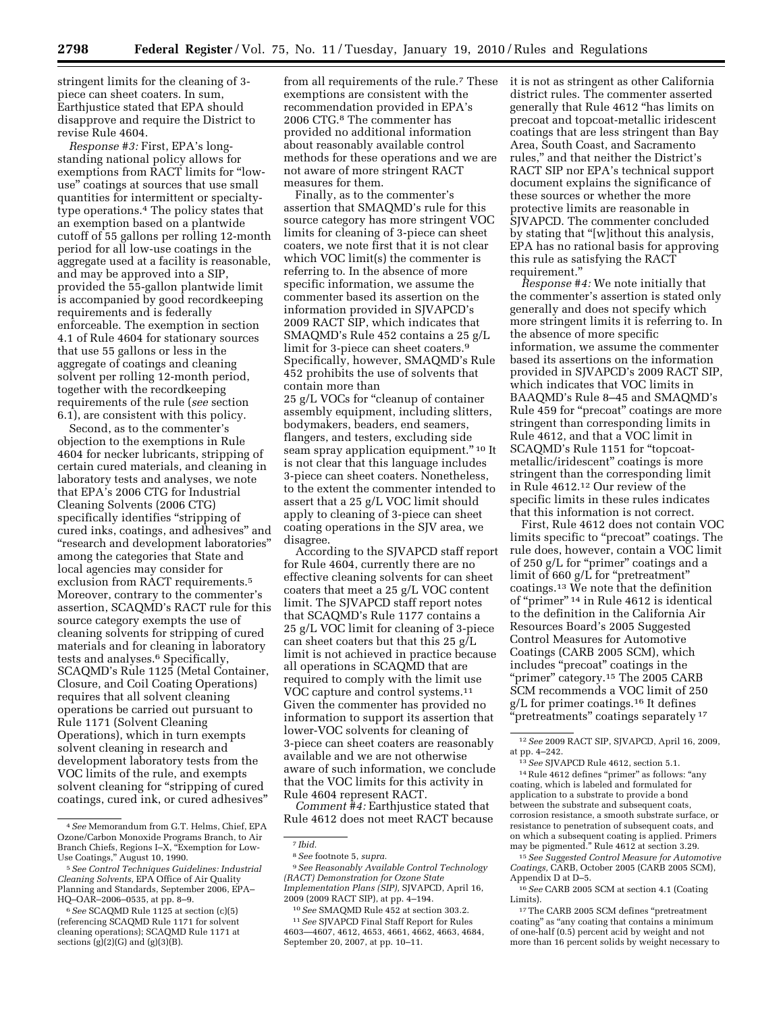stringent limits for the cleaning of 3 piece can sheet coaters. In sum, Earthjustice stated that EPA should disapprove and require the District to revise Rule 4604.

*Response #3:* First, EPA's longstanding national policy allows for exemptions from RACT limits for ''lowuse'' coatings at sources that use small quantities for intermittent or specialtytype operations.4 The policy states that an exemption based on a plantwide cutoff of 55 gallons per rolling 12-month period for all low-use coatings in the aggregate used at a facility is reasonable, and may be approved into a SIP, provided the 55-gallon plantwide limit is accompanied by good recordkeeping requirements and is federally enforceable. The exemption in section 4.1 of Rule 4604 for stationary sources that use 55 gallons or less in the aggregate of coatings and cleaning solvent per rolling 12-month period, together with the recordkeeping requirements of the rule (*see* section 6.1), are consistent with this policy.

Second, as to the commenter's objection to the exemptions in Rule 4604 for necker lubricants, stripping of certain cured materials, and cleaning in laboratory tests and analyses, we note that EPA's 2006 CTG for Industrial Cleaning Solvents (2006 CTG) specifically identifies "stripping of cured inks, coatings, and adhesives'' and ''research and development laboratories'' among the categories that State and local agencies may consider for exclusion from RACT requirements.5 Moreover, contrary to the commenter's assertion, SCAQMD's RACT rule for this source category exempts the use of cleaning solvents for stripping of cured materials and for cleaning in laboratory tests and analyses.6 Specifically, SCAQMD's Rule 1125 (Metal Container, Closure, and Coil Coating Operations) requires that all solvent cleaning operations be carried out pursuant to Rule 1171 (Solvent Cleaning Operations), which in turn exempts solvent cleaning in research and development laboratory tests from the VOC limits of the rule, and exempts solvent cleaning for "stripping of cured" coatings, cured ink, or cured adhesives''

from all requirements of the rule.7 These exemptions are consistent with the recommendation provided in EPA's 2006 CTG.8 The commenter has provided no additional information about reasonably available control methods for these operations and we are not aware of more stringent RACT measures for them.

Finally, as to the commenter's assertion that SMAQMD's rule for this source category has more stringent VOC limits for cleaning of 3-piece can sheet coaters, we note first that it is not clear which VOC limit(s) the commenter is referring to. In the absence of more specific information, we assume the commenter based its assertion on the information provided in SJVAPCD's 2009 RACT SIP, which indicates that SMAQMD's Rule 452 contains a 25 g/L limit for 3-piece can sheet coaters.<sup>9</sup> Specifically, however, SMAQMD's Rule 452 prohibits the use of solvents that contain more than

25 g/L VOCs for ''cleanup of container assembly equipment, including slitters, bodymakers, beaders, end seamers, flangers, and testers, excluding side seam spray application equipment."<sup>10</sup> It is not clear that this language includes 3-piece can sheet coaters. Nonetheless, to the extent the commenter intended to assert that a 25 g/L VOC limit should apply to cleaning of 3-piece can sheet coating operations in the SJV area, we disagree.

According to the SJVAPCD staff report for Rule 4604, currently there are no effective cleaning solvents for can sheet coaters that meet a 25 g/L VOC content limit. The SJVAPCD staff report notes that SCAQMD's Rule 1177 contains a 25 g/L VOC limit for cleaning of 3-piece can sheet coaters but that this 25 g/L limit is not achieved in practice because all operations in SCAQMD that are required to comply with the limit use VOC capture and control systems.11 Given the commenter has provided no information to support its assertion that lower-VOC solvents for cleaning of 3-piece can sheet coaters are reasonably available and we are not otherwise aware of such information, we conclude that the VOC limits for this activity in Rule 4604 represent RACT.

*Comment #4:* Earthjustice stated that Rule 4612 does not meet RACT because

9*See Reasonably Available Control Technology (RACT) Demonstration for Ozone State Implementation Plans (SIP),* SJVAPCD, April 16, 2009 (2009 RACT SIP), at pp. 4–194.

10*See* SMAQMD Rule 452 at section 303.2. 11*See* SJVAPCD Final Staff Report for Rules 4603—4607, 4612, 4653, 4661, 4662, 4663, 4684, September 20, 2007, at pp. 10–11.

it is not as stringent as other California district rules. The commenter asserted generally that Rule 4612 ''has limits on precoat and topcoat-metallic iridescent coatings that are less stringent than Bay Area, South Coast, and Sacramento rules,'' and that neither the District's RACT SIP nor EPA's technical support document explains the significance of these sources or whether the more protective limits are reasonable in SJVAPCD. The commenter concluded by stating that "[w]ithout this analysis, EPA has no rational basis for approving this rule as satisfying the RACT requirement.''

*Response #4:* We note initially that the commenter's assertion is stated only generally and does not specify which more stringent limits it is referring to. In the absence of more specific information, we assume the commenter based its assertions on the information provided in SJVAPCD's 2009 RACT SIP, which indicates that VOC limits in BAAQMD's Rule 8–45 and SMAQMD's Rule 459 for ''precoat'' coatings are more stringent than corresponding limits in Rule 4612, and that a VOC limit in SCAQMD's Rule 1151 for ''topcoatmetallic/iridescent'' coatings is more stringent than the corresponding limit in Rule 4612.12 Our review of the specific limits in these rules indicates that this information is not correct.

First, Rule 4612 does not contain VOC limits specific to "precoat" coatings. The rule does, however, contain a VOC limit of 250 g/L for ''primer'' coatings and a limit of 660 g/L for "pretreatment" coatings.13 We note that the definition of ''primer'' 14 in Rule 4612 is identical to the definition in the California Air Resources Board's 2005 Suggested Control Measures for Automotive Coatings (CARB 2005 SCM), which includes ''precoat'' coatings in the "primer" category.<sup>15</sup> The 2005 CARB SCM recommends a VOC limit of 250 g/L for primer coatings.16 It defines "pretreatments" coatings separately<sup>17</sup>

15*See Suggested Control Measure for Automotive Coatings,* CARB, October 2005 (CARB 2005 SCM), Appendix D at D–5.

16*See* CARB 2005 SCM at section 4.1 (Coating Limits).

17The CARB 2005 SCM defines ''pretreatment coating'' as ''any coating that contains a minimum of one-half (0.5) percent acid by weight and not more than 16 percent solids by weight necessary to

<sup>4</sup>*See* Memorandum from G.T. Helms, Chief, EPA Ozone/Carbon Monoxide Programs Branch, to Air Branch Chiefs, Regions I–X, ''Exemption for Low-Use Coatings,'' August 10, 1990.

<sup>5</sup>*See Control Techniques Guidelines: Industrial Cleaning Solvents,* EPA Office of Air Quality Planning and Standards, September 2006, EPA– HQ–OAR–2006–0535, at pp. 8–9.

<sup>6</sup>*See* SCAQMD Rule 1125 at section (c)(5) (referencing SCAQMD Rule 1171 for solvent cleaning operations); SCAQMD Rule 1171 at sections  $(g)(2)(G)$  and  $(g)(3)(B)$ .

<sup>7</sup> *Ibid.* 

<sup>8</sup>*See* footnote 5, *supra.* 

<sup>12</sup>*See* 2009 RACT SIP, SJVAPCD, April 16, 2009, at pp. 4–242.

<sup>13</sup>*See* SJVAPCD Rule 4612, section 5.1.  $\rm ^{14}\,Rule$  4612 defines "primer" as follows: "any coating, which is labeled and formulated for application to a substrate to provide a bond between the substrate and subsequent coats, corrosion resistance, a smooth substrate surface, or resistance to penetration of subsequent coats, and on which a subsequent coating is applied. Primers may be pigmented.'' Rule 4612 at section 3.29.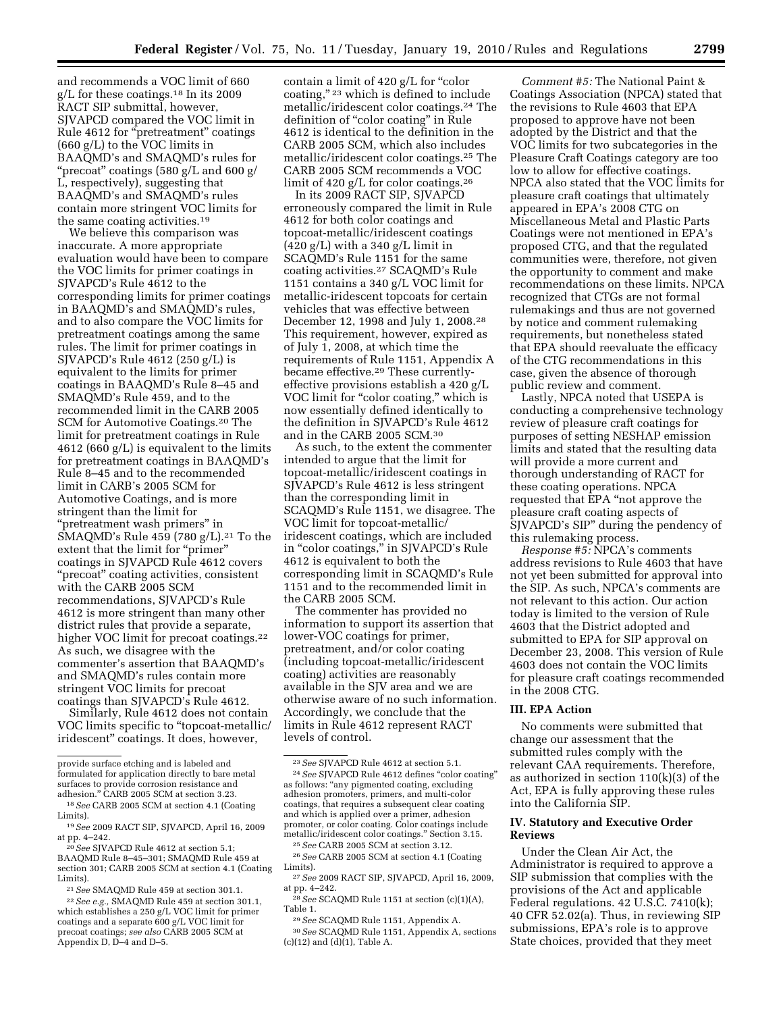and recommends a VOC limit of 660 g/L for these coatings.18 In its 2009 RACT SIP submittal, however, SJVAPCD compared the VOC limit in Rule 4612 for ''pretreatment'' coatings (660 g/L) to the VOC limits in BAAQMD's and SMAQMD's rules for ''precoat'' coatings (580 g/L and 600 g/ L, respectively), suggesting that BAAQMD's and SMAQMD's rules contain more stringent VOC limits for the same coating activities.19

We believe this comparison was inaccurate. A more appropriate evaluation would have been to compare the VOC limits for primer coatings in SJVAPCD's Rule 4612 to the corresponding limits for primer coatings in BAAQMD's and SMAQMD's rules, and to also compare the VOC limits for pretreatment coatings among the same rules. The limit for primer coatings in SJVAPCD's Rule 4612 (250 g/L) is equivalent to the limits for primer coatings in BAAQMD's Rule 8–45 and SMAQMD's Rule 459, and to the recommended limit in the CARB 2005 SCM for Automotive Coatings.20 The limit for pretreatment coatings in Rule 4612 (660 g/L) is equivalent to the limits for pretreatment coatings in BAAQMD's Rule 8–45 and to the recommended limit in CARB's 2005 SCM for Automotive Coatings, and is more stringent than the limit for ''pretreatment wash primers'' in SMAQMD's Rule 459 (780 g/L).21 To the extent that the limit for "primer" coatings in SJVAPCD Rule 4612 covers "precoat" coating activities, consistent with the CARB 2005 SCM recommendations, SJVAPCD's Rule 4612 is more stringent than many other district rules that provide a separate, higher VOC limit for precoat coatings.22 As such, we disagree with the commenter's assertion that BAAQMD's and SMAQMD's rules contain more stringent VOC limits for precoat coatings than SJVAPCD's Rule 4612.

Similarly, Rule 4612 does not contain VOC limits specific to ''topcoat-metallic/ iridescent'' coatings. It does, however,

contain a limit of 420 g/L for "color coating,"<sup>23</sup> which is defined to include metallic/iridescent color coatings.24 The definition of "color coating" in Rule 4612 is identical to the definition in the CARB 2005 SCM, which also includes metallic/iridescent color coatings.25 The CARB 2005 SCM recommends a VOC limit of 420 g/L for color coatings.26

In its 2009 RACT SIP, SJVAPCD erroneously compared the limit in Rule 4612 for both color coatings and topcoat-metallic/iridescent coatings  $(420 g/L)$  with a 340 g/L limit in SCAQMD's Rule 1151 for the same coating activities.27 SCAQMD's Rule 1151 contains a 340 g/L VOC limit for metallic-iridescent topcoats for certain vehicles that was effective between December 12, 1998 and July 1, 2008.28 This requirement, however, expired as of July 1, 2008, at which time the requirements of Rule 1151, Appendix A became effective.29 These currentlyeffective provisions establish a 420 g/L VOC limit for "color coating," which is now essentially defined identically to the definition in SJVAPCD's Rule 4612 and in the CARB 2005 SCM.30

As such, to the extent the commenter intended to argue that the limit for topcoat-metallic/iridescent coatings in SJVAPCD's Rule 4612 is less stringent than the corresponding limit in SCAQMD's Rule 1151, we disagree. The VOC limit for topcoat-metallic/ iridescent coatings, which are included in "color coatings," in SJVAPCD's Rule 4612 is equivalent to both the corresponding limit in SCAQMD's Rule 1151 and to the recommended limit in the CARB 2005 SCM.

The commenter has provided no information to support its assertion that lower-VOC coatings for primer, pretreatment, and/or color coating (including topcoat-metallic/iridescent coating) activities are reasonably available in the SJV area and we are otherwise aware of no such information. Accordingly, we conclude that the limits in Rule 4612 represent RACT levels of control.

*Comment #5:* The National Paint & Coatings Association (NPCA) stated that the revisions to Rule 4603 that EPA proposed to approve have not been adopted by the District and that the VOC limits for two subcategories in the Pleasure Craft Coatings category are too low to allow for effective coatings. NPCA also stated that the VOC limits for pleasure craft coatings that ultimately appeared in EPA's 2008 CTG on Miscellaneous Metal and Plastic Parts Coatings were not mentioned in EPA's proposed CTG, and that the regulated communities were, therefore, not given the opportunity to comment and make recommendations on these limits. NPCA recognized that CTGs are not formal rulemakings and thus are not governed by notice and comment rulemaking requirements, but nonetheless stated that EPA should reevaluate the efficacy of the CTG recommendations in this case, given the absence of thorough public review and comment.

Lastly, NPCA noted that USEPA is conducting a comprehensive technology review of pleasure craft coatings for purposes of setting NESHAP emission limits and stated that the resulting data will provide a more current and thorough understanding of RACT for these coating operations. NPCA requested that EPA ''not approve the pleasure craft coating aspects of SJVAPCD's SIP'' during the pendency of this rulemaking process.

*Response #5:* NPCA's comments address revisions to Rule 4603 that have not yet been submitted for approval into the SIP. As such, NPCA's comments are not relevant to this action. Our action today is limited to the version of Rule 4603 that the District adopted and submitted to EPA for SIP approval on December 23, 2008. This version of Rule 4603 does not contain the VOC limits for pleasure craft coatings recommended in the 2008 CTG.

## **III. EPA Action**

No comments were submitted that change our assessment that the submitted rules comply with the relevant CAA requirements. Therefore, as authorized in section 110(k)(3) of the Act, EPA is fully approving these rules into the California SIP.

## **IV. Statutory and Executive Order Reviews**

Under the Clean Air Act, the Administrator is required to approve a SIP submission that complies with the provisions of the Act and applicable Federal regulations. 42 U.S.C. 7410(k); 40 CFR 52.02(a). Thus, in reviewing SIP submissions, EPA's role is to approve State choices, provided that they meet

provide surface etching and is labeled and formulated for application directly to bare metal surfaces to provide corrosion resistance and adhesion.'' CARB 2005 SCM at section 3.23.

<sup>18</sup>*See* CARB 2005 SCM at section 4.1 (Coating Limits).

<sup>19</sup>*See* 2009 RACT SIP, SJVAPCD, April 16, 2009 at pp. 4–242.

<sup>20</sup>*See* SJVAPCD Rule 4612 at section 5.1; BAAQMD Rule 8–45–301; SMAQMD Rule 459 at section 301; CARB 2005 SCM at section 4.1 (Coating Limits).

<sup>21</sup>*See* SMAQMD Rule 459 at section 301.1.

<sup>22</sup>*See e.g.,* SMAQMD Rule 459 at section 301.1, which establishes a 250 g/L VOC limit for primer coatings and a separate 600 g/L VOC limit for precoat coatings; *see also* CARB 2005 SCM at Appendix D, D–4 and D–5.

<sup>23</sup>*See* SJVAPCD Rule 4612 at section 5.1. 24*See* SJVAPCD Rule 4612 defines ''color coating'' as follows: ''any pigmented coating, excluding adhesion promoters, primers, and multi-color coatings, that requires a subsequent clear coating and which is applied over a primer, adhesion promoter, or color coating. Color coatings include

metallic/iridescent color coatings.'' Section 3.15. 25*See* CARB 2005 SCM at section 3.12. 26*See* CARB 2005 SCM at section 4.1 (Coating

Limits). 27*See* 2009 RACT SIP, SJVAPCD, April 16, 2009,

at pp. 4–242.<br><sup>28</sup> *See* SCAQMD Rule 1151 at section (c)(1)(A),<br>Table 1.

<sup>&</sup>lt;sup>29</sup> See SCAQMD Rule 1151, Appendix A.

<sup>30</sup>*See* SCAQMD Rule 1151, Appendix A, sections  $(c)(12)$  and  $(d)(1)$ , Table A.